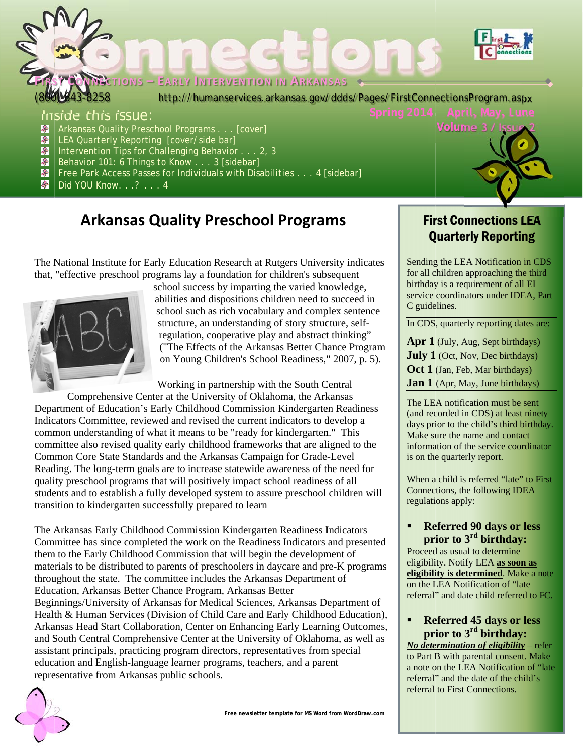

#### Inside this issue:

- $\bullet$ Arkansas Quality Preschool Programs . . . [cover]
- 
- LEA Quarterly Reporting [cover/side bar]<br>
Intervention Tips for Challenging Behavior . . . 2, 3<br>
Behavior 101: 6 Things to Know . . . 3 [sidebar]
- 
- Free Park Access Passes for Individuals with Disabilities . . . 4 [sidebar]
- **Did YOU Know.** . .? . . . 4

# **Arkansas Quality Preschool Programs**

The National Institute for Early Education Research at Rutgers University indicates that, "effective preschool programs lay a foundation for children's subsequent



school success by imparting the varied knowledge, abilities and dispositions children need to succeed in school such as rich vocabulary and complex sentence structure, an understanding of story structure, selfregulation, cooperative play and abstract thinking" ("The Effects of the Arkansas Better Chance Program on Young Children's School Readiness," 2007, p. 5).

Working in partnership with the South Central

Comprehensive Center at the University of Oklahoma, the Arkansas Department of Education's Early Childhood Commission Kindergarten Readiness Indicators Committee, reviewed and revised the current indicators to develop a common understanding of what it means to be "ready for kindergarten." This committee also revised quality early childhood frameworks that are aligned to the Common Core State Standards and the Arkansas Campaign for Grade-Level Reading. The long-term goals are to increase statewide awareness of the need for quality preschool programs that will positively impact school readiness of all students and to establish a fully developed system to assure preschool children will transition to kindergarten successfully prepared to learn

The Arkansas Early Childhood Commission Kindergarten Readiness Indicators Committee has since completed the work on the Readiness Indicators and presented them to the Early Childhood Commission that will begin the development of materials to be distributed to parents of preschoolers in daycare and pre-K programs throughout the state. The committee includes the Arkansas Department of Education, Arkansas Better Chance Program, Arkansas Better Beginnings/University of Arkansas for Medical Sciences, Arkansas Department of Health & Human Services (Division of Child Care and Early Childhood Education), Arkansas Head Start Collaboration, Center on Enhancing Early Learning Outcomes, and South Central Comprehensive Center at the University of Oklahoma, as well as assistant principals, practicing program directors, representatives from special education and English-language learner programs, teachers, and a parent representative from Arkansas public schools.



### **First Connections LEA Quarterly Reporting**

Volume 3 / Is

Sending the LEA Notification in CDS for all children approaching the third birthday is a requirement of all EI service coordinators under IDEA, Part C guidelines.

In CDS, quarterly reporting dates are:

Apr 1 (July, Aug, Sept birthdays) **July 1** (Oct, Nov, Dec birthdays) Oct 1 (Jan, Feb, Mar birthdays) **Jan 1** (Apr, May, June birthdays)

The LEA notification must be sent (and recorded in CDS) at least ninety days prior to the child's third birthday. Make sure the name and contact information of the service coordinator is on the quarterly report.

When a child is referred "late" to First Connections, the following IDEA regulations apply:

#### **Referred 90 days or less** prior to  $3<sup>rd</sup>$  birthday:

Proceed as usual to determine eligibility. Notify LEA as soon as eligibility is determined. Make a note on the LEA Notification of "late referral" and date child referred to FC.

#### **Referred 45 days or less**  $\blacksquare$ prior to  $3<sup>rd</sup>$  birthday:

No determination of eligibility – refer to Part B with parental consent. Make a note on the LEA Notification of "late" referral" and the date of the child's referral to First Connections.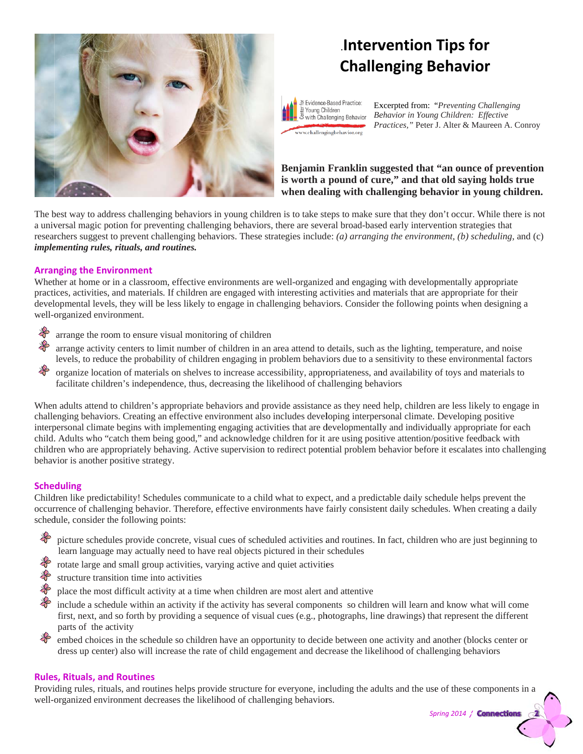

# **Intervention Tips for Challenging Behavior**

Evidence-Based Practice: 횰 Young Children with Challenging Behavior www.challengingbehavior.org

Excerpted from: "Preventing Challenging *Be ehavior in Young g Children: Effe fective*  Practices," Peter J. Alter & Maureen A. Conroy

**Benjamin Franklin sug ggested that "an ounce o f prevention**  is worth a pound of cure," and that old saying holds true when dealing with challenging behavior in young children.

The best way to address challenging behaviors in young children is to take steps to make sure that they don't occur. While there is not a universal magic potion for preventing challenging behaviors, there are several broad-based early intervention strategies that researchers suggest to prevent challenging behaviors. These strategies include: *(a) arranging the environment, (b) scheduling,* and *(c) imple ementing rules s, rituals, and r routines.*

#### **Arranging the Environment**

Whether at home or in a classroom, effective environments are well-organized and engaging with developmentally appropriate practices, activities, and materials. If children are engaged with interesting activities and materials that are appropriate for their developmental levels, they will be less likely to engage in challenging behaviors. Consider the following points when designing a well-organized environment.

₩ arrange the room to ensure visual monitoring of children

- $\clubsuit$ arrange activity centers to limit number of children in an area attend to details, such as the lighting, temperature, and noise levels, to reduce the probability of children engaging in problem behaviors due to a sensitivity to these environmental factors
- ₩ organize location of materials on shelves to increase accessibility, appropriateness, and availability of toys and materials to facilitate children's independence, thus, decreasing the likelihood of challenging behaviors

When adults attend to children's appropriate behaviors and provide assistance as they need help, children are less likely to engage in challenging behaviors. Creating an effective environment also includes developing interpersonal climate. Developing positive interpersonal climate begins with implementing engaging activities that are developmentally and individually appropriate for each child. Adults who "catch them being good," and acknowledge children for it are using positive attention/positive feedback with children who are appropriately behaving. Active supervision to redirect potential problem behavior before it escalates into challenging behavior is another positive strategy. tt)<br>g

#### **Sche duling**

Children like predictability! Schedules communicate to a child what to expect, and a predictable daily schedule helps prevent the occurrence of challenging behavior. Therefore, effective environments have fairly consistent daily schedules. When creating a daily schedule, consider the following points:

- € picture schedules provide concrete, visual cues of scheduled activities and routines. In fact, children who are just beginning to learn language may actually need to have real objects pictured in their schedules
- € rotate large and small group activities, varying active and quiet activities
- € structure transition time into activities
- $\frac{1}{4}$ place the most difficult activity at a time when children are most alert and attentive
- € include a schedule within an activity if the activity has several components so children will learn and know what will come first, next, and so forth by providing a sequence of visual cues (e.g., photographs, line drawings) that represent the different parts of the a activity
- embed choices in the schedule so children have an opportunity to decide between one activity and another (blocks center or dress up center) also will increase the rate of child engagement and decrease the likelihood of challenging behaviors

#### **Rules s, Rituals, and d Routines**

Providing rules, rituals, and routines helps provide structure for everyone, including the adults and the use of these components in a well-organized environment decreases the likelihood of challenging behaviors.

*Sp pring 2014 /*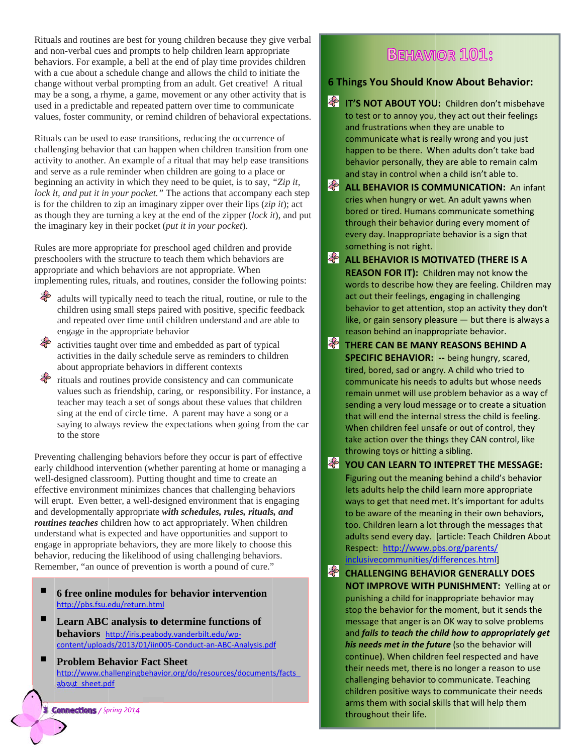Rituals and routines are best for young children because they give verbal and non-verbal cues and prompts to help children learn appropriate behaviors. For example, a bell at the end of play time provides children with a cue about a schedule change and allows the child to initiate the change without verbal prompting from an adult. Get creative! A ritual may be a song, a rhyme, a game, movement or any other activity that is used in a predictable and repeated pattern over time to communicate values, foster community, or remind children of behavioral expectations.

Rituals can be used to ease transitions, reducing the occurrence of challenging behavior that can happen when children transition from one activity to another. An example of a ritual that may help ease transitions and serve as a rule reminder when children are going to a place or beginning an activity in which they need to be quiet, is to say, "Zip it, lock it, and put it in your pocket." The actions that accompany each step is for the children to zip an imaginary zipper over their lips  $(zip\ it)$ ; act as though they are turning a key at the end of the zipper  $(lock it)$ , and put the im maginary key in n their pocket ( *put it in your p pocket*).

Rules are more appropriate for preschool aged children and provide preschoolers with the structure to teach them which behaviors are appropriate and which behaviors are not appropriate. When implementing rules, rituals, and routines, consider the following points:

- adults will typically need to teach the ritual, routine, or rule to the children using small steps paired with positive, specific feedback and repeated over time until children understand and are able to engage in the appropriate behavior
- activities taught over time and embedded as part of typical activities in the daily schedule serve as reminders to children about appropriate behaviors in different contexts
- rituals and routines provide consistency and can communicate values such as friendship, caring, or responsibility. For instance, a teacher may teach a set of songs about these values that children sing at the end of circle time. A parent may have a song or a saying to always review the expectations when going from the car to the store

Preventing challenging behaviors before they occur is part of effective early childhood intervention (whether parenting at home or managing a well-designed classroom). Putting thought and time to create an effective environment minimizes chances that challenging behaviors will erupt. Even better, a well-designed environment that is engaging and developmentally appropriate with schedules, rules, rituals, and routines teaches children how to act appropriately. When children understand what is expected and have opportunities and support to engage in appropriate behaviors, they are more likely to choose this behavior, reducing the likelihood of using challenging behaviors. Remember, "an ounce of prevention is worth a pound of cure."

- **6** free online modules for behavior intervention <u>http://pbs.fsu.edu/return.html</u>
- П Learn ABC analysis to determine functions of behaviors http://iris.peabody.vanderbilt.edu/wpcontent/uploads/2013/01/iin005-Conduct-an-ABC-Analysis.pdf
- . **Problem Be ehavior Fact Sheet** http://www.challengingbehavior.org/do/resources/documents/facts about sheet.pdf

*/ Sp pring 2014*

## **BEHAVIOR 101:**

#### **ou Should Kn now About B Behavior:**

- **IT'S NOT T ABOUT YOU U:** Children do on't misbehave to test or to annoy you, they act out their feelings and frustrations when they are unable to communicate what is really wrong and you just happen to be there. When adults don't take bad behavior personally, they are able to remain calm and stay in control when a child isn't able to.
- **ALL BEHAVIOR IS COMMUNICATION:** An infant cries when hungry or wet. An adult yawns when bored or tired. Humans communicate something through their behavior during every moment of every day. Inappropriate behavior is a sign that something is not right.
- **ALL BEHAVIOR IS MOTIVATED (THERE IS A REASON FOR IT):** Chi ldren may not know the words to describe how they are feeling. Children may act out their feelings, engaging in challenging behavior to get attention, stop an activity they don't like, or gain sensory pleasure — but there is always a reason behind an inappropriate behavior.
- A ritual<br>
ity that is<br>
incide<br>
pectations.<br>
to test or<br>
e of<br>
from one<br>
transitions<br>
e or<br>
"Zip it,<br>
y each step<br>
"Zip it,<br>
y each step<br>
"Zip it,<br>
y each step<br>
or<br>
"Zip it,<br>
y each step<br>
or<br>
"Zip it,<br>
or a stay in the stay **THERE C AN BE MANY Y REASONS B EHIND A** SPECIFIC BEHAVIOR: -- being hungry, scared, tired, bored, sad or angry. A child who tried to communicate his needs to adults but whose needs remain unmet will use problem behavior as a way of sending a very loud message or to create a situation that will end the internal stress the child is feeling. When children feel unsafe or out of control, they take action over the things they CAN control, like throwing toys or hitting a sibling.
	- **YOU CAN N LEARN TO I INTEPRET TH E MESSAGE:** Figuring out the meaning behind a child's behavior lets adults help the child learn more appropriate ways to get that need met. It's important for adults to be aware of the meaning in their own behaviors, too. Children learn a lot through the messages that adults send every day. [article: Teach Children About Respect: http://www.pbs.org/parents/ <u>inclusivecommunities/differences.html]</u>
	- **CHALLEN NGING BEHAV VIOR GENERA ALLY DOES NOT IMPROVE WITH PUNISHMENT:** Yelling at or punishing a child for inappropriate behavior may stop the behavior for the moment, but it sends the message that anger is an OK way to solve problems and *fails t to teach the ch hild how to ap ppropriately ge et***his needs met in the future** (so the behavior will continue). When children feel respected and have their needs met, there is no longer a reason to use challenging behavior to communicate. Teaching children positive ways to communicate their needs arms them with social skills that will help them throughout their life.